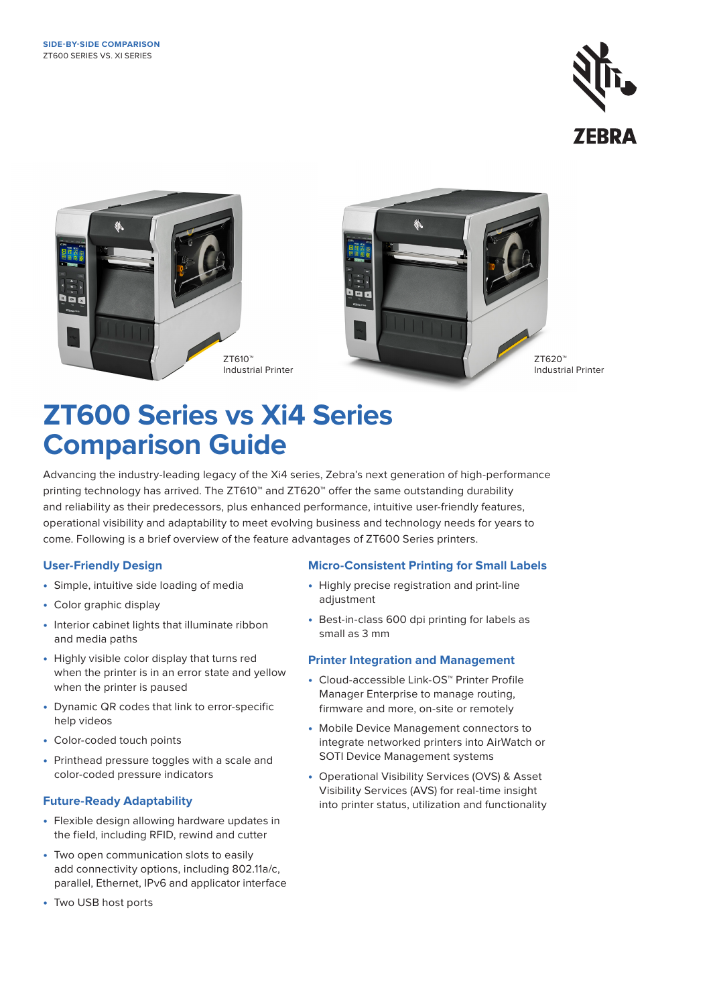



# **ZT600 Series vs Xi4 Series Comparison Guide**

Advancing the industry-leading legacy of the Xi4 series, Zebra's next generation of high-performance printing technology has arrived. The ZT610™ and ZT620™ offer the same outstanding durability and reliability as their predecessors, plus enhanced performance, intuitive user-friendly features, operational visibility and adaptability to meet evolving business and technology needs for years to come. Following is a brief overview of the feature advantages of ZT600 Series printers.

### **User-Friendly Design**

- Simple, intuitive side loading of media
- Color graphic display
- Interior cabinet lights that illuminate ribbon and media paths
- Highly visible color display that turns red when the printer is in an error state and yellow when the printer is paused
- Dynamic QR codes that link to error-specific help videos
- Color-coded touch points
- Printhead pressure toggles with a scale and color-coded pressure indicators

# **Future-Ready Adaptability**

- Flexible design allowing hardware updates in the field, including RFID, rewind and cutter
- Two open communication slots to easily add connectivity options, including 802.11a/c, parallel, Ethernet, IPv6 and applicator interface
- Two USB host ports

# **Micro-Consistent Printing for Small Labels**

- Highly precise registration and print-line adjustment
- Best-in-class 600 dpi printing for labels as small as 3 mm

### **Printer Integration and Management**

- Cloud-accessible Link-OS™ Printer Profile Manager Enterprise to manage routing, firmware and more, on-site or remotely
- Mobile Device Management connectors to integrate networked printers into AirWatch or SOTI Device Management systems
- Operational Visibility Services (OVS) & Asset Visibility Services (AVS) for real-time insight into printer status, utilization and functionality